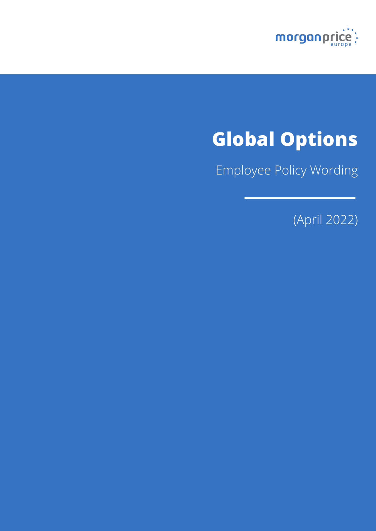

# **Global Options**

Employee Policy Wording

(April 2022)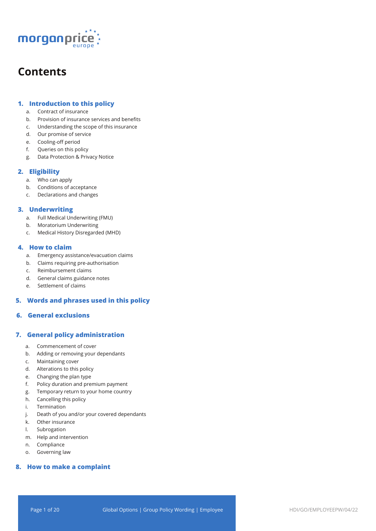

## **Contents**

## **1. Introduction to this policy**

- a. Contract of insurance
- b. Provision of insurance services and benefits
- c. Understanding the scope of this insurance
- d. Our promise of service
- e. Cooling-off period
- f. Queries on this policy
- g. Data Protection & Privacy Notice

## **2. Eligibility**

- a. Who can apply
- b. Conditions of acceptance
- c. Declarations and changes

## **3. Underwriting**

- a. Full Medical Underwriting (FMU)
- b. Moratorium Underwriting
- c. Medical History Disregarded (MHD)

## **4. How to claim**

- a. Emergency assistance/evacuation claims
- b. Claims requiring pre-authorisation
- c. Reimbursement claims
- d. General claims guidance notes
- e. Settlement of claims

## **5. Words and phrases used in this policy**

## **6. General exclusions**

## **7. General policy administration**

- a. Commencement of cover
- b. Adding or removing your dependants
- c. Maintaining cover
- d. Alterations to this policy
- e. Changing the plan type
- f. Policy duration and premium payment
- g. Temporary return to your home country
- h. Cancelling this policy
- i. Termination
- j. Death of you and/or your covered dependants
- k. Other insurance
- l. Subrogation
- m. Help and intervention
- n. Compliance
- o. Governing law

## **8. How to make a complaint**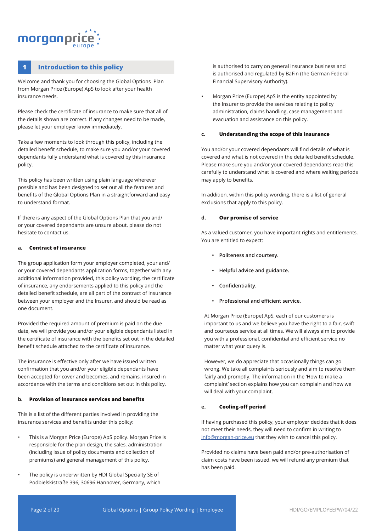## morganpri

## **1 Introduction to this policy**

Welcome and thank you for choosing the Global Options Plan from Morgan Price (Europe) ApS to look after your health insurance needs.

Please check the certificate of insurance to make sure that all of the details shown are correct. If any changes need to be made, please let your employer know immediately.

Take a few moments to look through this policy, including the detailed benefit schedule, to make sure you and/or your covered dependants fully understand what is covered by this insurance policy.

This policy has been written using plain language wherever possible and has been designed to set out all the features and benefits of the Global Options Plan in a straightforward and easy to understand format.

If there is any aspect of the Global Options Plan that you and/ or your covered dependants are unsure about, please do not hesitate to contact us.

#### **a. Contract of insurance**

The group application form your employer completed, your and/ or your covered dependants application forms, together with any additional information provided, this policy wording, the certificate of insurance, any endorsements applied to this policy and the detailed benefit schedule, are all part of the contract of insurance between your employer and the Insurer, and should be read as one document.

Provided the required amount of premium is paid on the due date, we will provide you and/or your eligible dependants listed in the certificate of insurance with the benefits set out in the detailed benefit schedule attached to the certificate of insurance.

The insurance is effective only after we have issued written confirmation that you and/or your eligible dependants have been accepted for cover and becomes, and remains, insured in accordance with the terms and conditions set out in this policy.

### **b. Provision of insurance services and benefits**

This is a list of the different parties involved in providing the insurance services and benefits under this policy:

- This is a Morgan Price (Europe) ApS policy. Morgan Price is responsible for the plan design, the sales, administration (including issue of policy documents and collection of premiums) and general management of this policy.
- The policy is underwritten by HDI Global Specialty SE of Podbielskistraße 396, 30696 Hannover, Germany, which

is authorised to carry on general insurance business and is authorised and regulated by BaFin (the German Federal Financial Supervisory Authority).

• Morgan Price (Europe) ApS is the entity appointed by the Insurer to provide the services relating to policy administration, claims handling, case management and evacuation and assistance on this policy.

#### **c. Understanding the scope of this insurance**

You and/or your covered dependants will find details of what is covered and what is not covered in the detailed benefit schedule. Please make sure you and/or your covered dependants read this carefully to understand what is covered and where waiting periods may apply to benefits.

In addition, within this policy wording, there is a list of general exclusions that apply to this policy.

#### **d. Our promise of service**

As a valued customer, you have important rights and entitlements. You are entitled to expect:

- **• Politeness and courtesy.**
- **• Helpful advice and guidance.**
- **• Confidentiality.**
- **• Professional and efficient service.**

At Morgan Price (Europe) ApS, each of our customers is important to us and we believe you have the right to a fair, swift and courteous service at all times. We will always aim to provide you with a professional, confidential and efficient service no matter what your query is.

However, we do appreciate that occasionally things can go wrong. We take all complaints seriously and aim to resolve them fairly and promptly. The information in the 'How to make a complaint' section explains how you can complain and how we will deal with your complaint.

#### **e. Cooling-off period**

If having purchased this policy, your employer decides that it does not meet their needs, they will need to confirm in writing to info@morgan-price.eu that they wish to cancel this policy.

Provided no claims have been paid and/or pre-authorisation of claim costs have been issued, we will refund any premium that has been paid.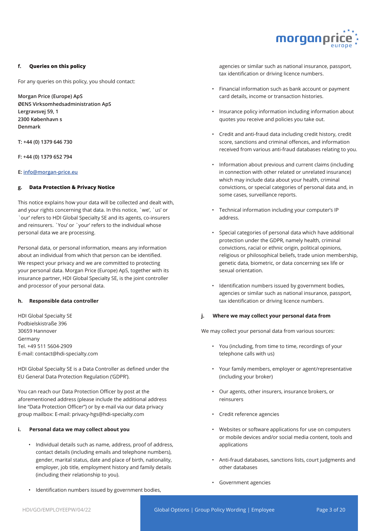

#### **f. Queries on this policy**

For any queries on this policy, you should contact:

**Morgan Price (Europe) ApS ØENS Virksomhedsadministration ApS Lergravsvej 59, 1 2300 København s Denmark** 

**T: +44 (0) 1379 646 730**

**F: +44 (0) 1379 652 794**

#### **E: info@morgan-price.eu**

#### **g. Data Protection & Privacy Notice**

This notice explains how your data will be collected and dealt with, and your rights concerning that data. In this notice, `we', `us' or `our' refers to HDI Global Specialty SE and its agents, co-insurers and reinsurers. `You' or `your' refers to the individual whose personal data we are processing.

Personal data, or personal information, means any information about an individual from which that person can be identified. We respect your privacy and we are committed to protecting your personal data. Morgan Price (Europe) ApS, together with its insurance partner, HDI Global Specialty SE, is the joint controller and processor of your personal data.

#### **h. Responsible data controller**

HDI Global Specialty SE Podbielskistraße 396 30659 Hannover Germany Tel. +49 511 5604-2909 E-mail: contact@hdi-specialty.com

HDI Global Specialty SE is a Data Controller as defined under the EU General Data Protection Regulation ('GDPR').

You can reach our Data Protection Officer by post at the aforementioned address (please include the additional address line "Data Protection Officer") or by e-mail via our data privacy group mailbox: E-mail: privacy-hgs@hdi-specialty.com

#### **i. Personal data we may collect about you**

- Individual details such as name, address, proof of address, contact details (including emails and telephone numbers), gender, marital status, date and place of birth, nationality, employer, job title, employment history and family details (including their relationship to you).
- Identification numbers issued by government bodies,

agencies or similar such as national insurance, passport, tax identification or driving licence numbers.

- Financial information such as bank account or payment card details, income or transaction histories.
- Insurance policy information including information about quotes you receive and policies you take out.
- Credit and anti-fraud data including credit history, credit score, sanctions and criminal offences, and information received from various anti-fraud databases relating to you.
- Information about previous and current claims (including in connection with other related or unrelated insurance) which may include data about your health, criminal convictions, or special categories of personal data and, in some cases, surveillance reports.
- Technical information including your computer's IP address.
- Special categories of personal data which have additional protection under the GDPR, namely health, criminal convictions, racial or ethnic origin, political opinions, religious or philosophical beliefs, trade union membership, genetic data, biometric, or data concerning sex life or sexual orientation.
- Identification numbers issued by government bodies, agencies or similar such as national insurance, passport, tax identification or driving licence numbers.

#### **j. Where we may collect your personal data from**

We may collect your personal data from various sources:

- You (including, from time to time, recordings of your telephone calls with us)
- Your family members, employer or agent/representative (including your broker)
- Our agents, other insurers, insurance brokers, or reinsurers
- Credit reference agencies
- Websites or software applications for use on computers or mobile devices and/or social media content, tools and applications
- Anti-fraud databases, sanctions lists, court judgments and other databases
- Government agencies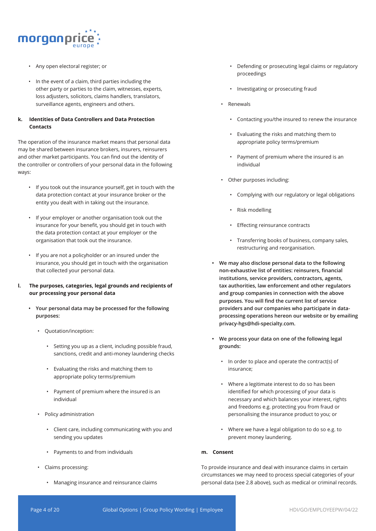

- Any open electoral register; or
- In the event of a claim, third parties including the other party or parties to the claim, witnesses, experts, loss adjusters, solicitors, claims handlers, translators, surveillance agents, engineers and others.

## **k. Identities of Data Controllers and Data Protection Contacts**

The operation of the insurance market means that personal data may be shared between insurance brokers, insurers, reinsurers and other market participants. You can find out the identity of the controller or controllers of your personal data in the following ways:

- If you took out the insurance yourself, get in touch with the data protection contact at your insurance broker or the entity you dealt with in taking out the insurance.
- If your employer or another organisation took out the insurance for your benefit, you should get in touch with the data protection contact at your employer or the organisation that took out the insurance.
- If you are not a policyholder or an insured under the insurance, you should get in touch with the organisation that collected your personal data.
- **l. The purposes, categories, legal grounds and recipients of our processing your personal data**
	- **• Your personal data may be processed for the following purposes:** 
		- Quotation/inception:
			- Setting you up as a client, including possible fraud, sanctions, credit and anti-money laundering checks
			- Evaluating the risks and matching them to appropriate policy terms/premium
			- Payment of premium where the insured is an individual
		- Policy administration
			- Client care, including communicating with you and sending you updates
			- Payments to and from individuals
		- Claims processing:
			- Managing insurance and reinsurance claims
- Defending or prosecuting legal claims or regulatory proceedings
- Investigating or prosecuting fraud
- Renewals
	- Contacting you/the insured to renew the insurance
	- Evaluating the risks and matching them to appropriate policy terms/premium
	- Payment of premium where the insured is an individual
- Other purposes including:
	- Complying with our regulatory or legal obligations
	- Risk modelling
	- Effecting reinsurance contracts
	- Transferring books of business, company sales, restructuring and reorganisation.
- **• We may also disclose personal data to the following non-exhaustive list of entities: reinsurers, financial institutions, service providers, contractors, agents, tax authorities, law enforcement and other regulators and group companies in connection with the above purposes. You will find the current list of service providers and our companies who participate in dataprocessing operations hereon our website or by emailing privacy-hgs@hdi-specialty.com.**
- **• We process your data on one of the following legal grounds:**
	- In order to place and operate the contract(s) of insurance;
	- Where a legitimate interest to do so has been identified for which processing of your data is necessary and which balances your interest, rights and freedoms e.g. protecting you from fraud or personalising the insurance product to you; or
	- Where we have a legal obligation to do so e.g. to prevent money laundering.

## **m. Consent**

To provide insurance and deal with insurance claims in certain circumstances we may need to process special categories of your personal data (see 2.8 above), such as medical or criminal records.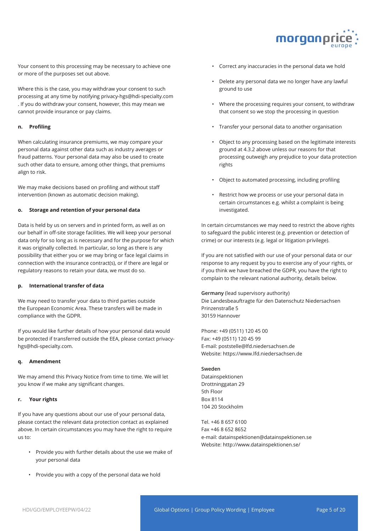

Your consent to this processing may be necessary to achieve one or more of the purposes set out above.

Where this is the case, you may withdraw your consent to such processing at any time by notifying privacy-hgs@hdi-specialty.com . If you do withdraw your consent, however, this may mean we cannot provide insurance or pay claims.

#### **n. Profiling**

When calculating insurance premiums, we may compare your personal data against other data such as industry averages or fraud patterns. Your personal data may also be used to create such other data to ensure, among other things, that premiums align to risk.

We may make decisions based on profiling and without staff intervention (known as automatic decision making).

#### **o. Storage and retention of your personal data**

Data is held by us on servers and in printed form, as well as on our behalf in off-site storage facilities. We will keep your personal data only for so long as is necessary and for the purpose for which it was originally collected. In particular, so long as there is any possibility that either you or we may bring or face legal claims in connection with the insurance contract(s), or if there are legal or regulatory reasons to retain your data, we must do so.

## **p. International transfer of data**

We may need to transfer your data to third parties outside the European Economic Area. These transfers will be made in compliance with the GDPR.

If you would like further details of how your personal data would be protected if transferred outside the EEA, please contact privacyhgs@hdi-specialty.com.

#### **q. Amendment**

We may amend this Privacy Notice from time to time. We will let you know if we make any significant changes.

#### **r. Your rights**

If you have any questions about our use of your personal data, please contact the relevant data protection contact as explained above. In certain circumstances you may have the right to require us to:

- Provide you with further details about the use we make of your personal data
- Provide you with a copy of the personal data we hold
- Correct any inaccuracies in the personal data we hold
- Delete any personal data we no longer have any lawful ground to use
- Where the processing requires your consent, to withdraw that consent so we stop the processing in question
- Transfer your personal data to another organisation
- Object to any processing based on the legitimate interests ground at 4.3.2 above unless our reasons for that processing outweigh any prejudice to your data protection rights
- Object to automated processing, including profiling
- Restrict how we process or use your personal data in certain circumstances e.g. whilst a complaint is being investigated.

In certain circumstances we may need to restrict the above rights to safeguard the public interest (e.g. prevention or detection of crime) or our interests (e.g. legal or litigation privilege).

If you are not satisfied with our use of your personal data or our response to any request by you to exercise any of your rights, or if you think we have breached the GDPR, you have the right to complain to the relevant national authority, details below.

**Germany** (lead supervisory authority) Die Landesbeauftragte für den Datenschutz Niedersachsen Prinzenstraße 5 30159 Hannover

Phone: +49 (0511) 120 45 00 Fax: +49 (0511) 120 45 99 E-mail: poststelle@lfd.niedersachsen.de Website: https://www.lfd.niedersachsen.de

#### **Sweden**

Datainspektionen Drottninggatan 29 5th Floor Box 8114 104 20 Stockholm

Tel. +46 8 657 6100 Fax +46 8 652 8652 e-mail: datainspektionen@datainspektionen.se Website: http://www.datainspektionen.se/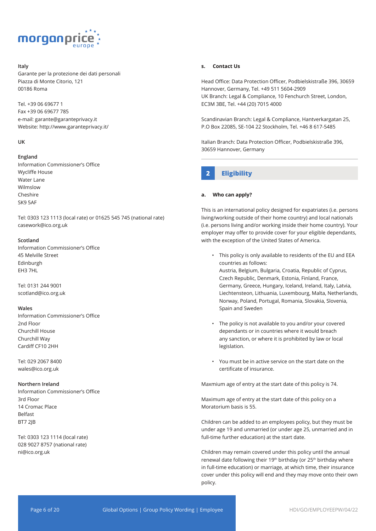

#### **Italy**

Garante per la protezione dei dati personali Piazza di Monte Citorio, 121 00186 Roma

Tel. +39 06 69677 1 Fax +39 06 69677 785 e-mail: garante@garanteprivacy.it Website: http://www.garanteprivacy.it/

#### **UK**

#### **England**

Information Commissioner's Office Wycliffe House Water Lane Wilmslow Cheshire SK9 5AF

Tel: 0303 123 1113 (local rate) or 01625 545 745 (national rate) casework@ico.org.uk

#### **Scotland**

Information Commissioner's Office 45 Melville Street Edinburgh EH3 7HL

Tel: 0131 244 9001 scotland@ico.org.uk

#### **Wales**

Information Commissioner's Office 2nd Floor Churchill House Churchill Way Cardiff CF10 2HH

Tel: 029 2067 8400 wales@ico.org.uk

#### **Northern Ireland**

Information Commissioner's Office 3rd Floor 14 Cromac Place Belfast BT7 2JB

Tel: 0303 123 1114 (local rate) 028 9027 8757 (national rate) ni@ico.org.uk

#### **s. Contact Us**

Head Office: Data Protection Officer, Podbielskistraße 396, 30659 Hannover, Germany, Tel. +49 511 5604-2909 UK Branch: Legal & Compliance, 10 Fenchurch Street, London, EC3M 3BE, Tel. +44 (20) 7015 4000

Scandinavian Branch: Legal & Compliance, Hantverkargatan 25, P.O Box 22085, SE-104 22 Stockholm, Tel. +46 8 617-5485

Italian Branch: Data Protection Officer, Podbielskistraße 396, 30659 Hannover, Germany

## **2 Eligibility**

#### **a. Who can apply?**

This is an international policy designed for expatriates (i.e. persons living/working outside of their home country) and local nationals (i.e. persons living and/or working inside their home country). Your employer may offer to provide cover for your eligible dependants, with the exception of the United States of America.

- This policy is only available to residents of the EU and EEA countries as follows: Austria, Belgium, Bulgaria, Croatia, Republic of Cyprus, Czech Republic, Denmark, Estonia, Finland, France, Germany, Greece, Hungary, Iceland, Ireland, Italy, Latvia, Liechtensteon, Lithuania, Luxembourg, Malta, Netherlands, Norway, Poland, Portugal, Romania, Slovakia, Slovenia, Spain and Sweden
- The policy is not available to you and/or your covered dependants or in countries where it would breach any sanction, or where it is prohibited by law or local legislation.
- You must be in active service on the start date on the certificate of insurance.

Maxmium age of entry at the start date of this policy is 74.

Maximum age of entry at the start date of this policy on a Moratorium basis is 55.

Children can be added to an employees policy, but they must be under age 19 and unmarried (or under age 25, unmarried and in full-time further education) at the start date.

Children may remain covered under this policy until the annual renewal date following their 19<sup>th</sup> birthday (or 25<sup>th</sup> birthday where in full-time education) or marriage, at which time, their insurance cover under this policy will end and they may move onto their own policy.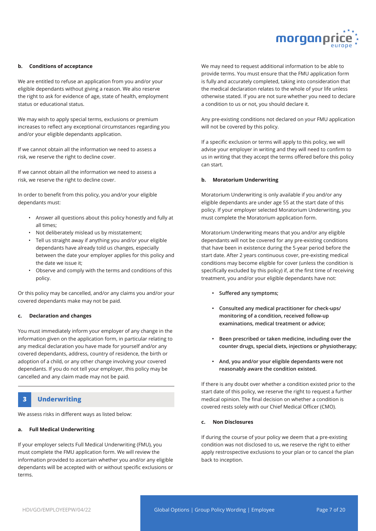

#### **b. Conditions of acceptance**

We are entitled to refuse an application from you and/or your eligible dependants without giving a reason. We also reserve the right to ask for evidence of age, state of health, employment status or educational status.

We may wish to apply special terms, exclusions or premium increases to reflect any exceptional circumstances regarding you and/or your eligible dependants application.

If we cannot obtain all the information we need to assess a risk, we reserve the right to decline cover.

If we cannot obtain all the information we need to assess a risk, we reserve the right to decline cover.

In order to benefit from this policy, you and/or your eligible dependants must:

- Answer all questions about this policy honestly and fully at all times;
- Not deliberately mislead us by misstatement;
- Tell us straight away if anything you and/or your eligible dependants have already told us changes, especially between the date your employer applies for this policy and the date we issue it;
- Observe and comply with the terms and conditions of this policy.

Or this policy may be cancelled, and/or any claims you and/or your covered dependants make may not be paid.

#### **c. Declaration and changes**

You must immediately inform your employer of any change in the information given on the application form, in particular relating to any medical declaration you have made for yourself and/or any covered dependants, address, country of residence, the birth or adoption of a child, or any other change involving your covered dependants. If you do not tell your employer, this policy may be cancelled and any claim made may not be paid.

## **3 Underwriting**

We assess risks in different ways as listed below:

#### **a. Full Medical Underwriting**

If your employer selects Full Medical Underwriting (FMU), you must complete the FMU application form. We will review the information provided to ascertain whether you and/or any eligible dependants will be accepted with or without specific exclusions or terms.

We may need to request additional information to be able to provide terms. You must ensure that the FMU application form is fully and accurately completed, taking into consideration that the medical declaration relates to the whole of your life unless otherwise stated. If you are not sure whether you need to declare a condition to us or not, you should declare it.

Any pre-existing conditions not declared on your FMU application will not be covered by this policy.

If a specific exclusion or terms will apply to this policy, we will advise your employer in writing and they will need to confirm to us in writing that they accept the terms offered before this policy can start.

#### **b. Moratorium Underwriting**

Moratorium Underwriting is only available if you and/or any eligible dependants are under age 55 at the start date of this policy. If your employer selected Moratorium Underwriting, you must complete the Moratorium application form.

Moratorium Underwriting means that you and/or any eligible dependants will not be covered for any pre-existing conditions that have been in existence during the 5-year period before the start date. After 2 years continuous cover, pre-existing medical conditions may become eligible for cover (unless the condition is specifically excluded by this policy) if, at the first time of receiving treatment, you and/or your eligible dependants have not:

- **• Suffered any symptoms;**
- **• Consulted any medical practitioner for check-ups/ monitoring of a condition, received follow-up examinations, medical treatment or advice;**
- **• Been prescribed or taken medicine, including over the counter drugs, special diets, injections or physiotherapy;**
- **• And, you and/or your eligible dependants were not reasonably aware the condition existed.**

If there is any doubt over whether a condition existed prior to the start date of this policy, we reserve the right to request a further medical opinion. The final decision on whether a condition is covered rests solely with our Chief Medical Officer (CMO).

#### **c. Non Disclosures**

If during the course of your policy we deem that a pre-existing condition was not disclosed to us, we reserve the right to either apply restrospective exclusions to your plan or to cancel the plan back to inception.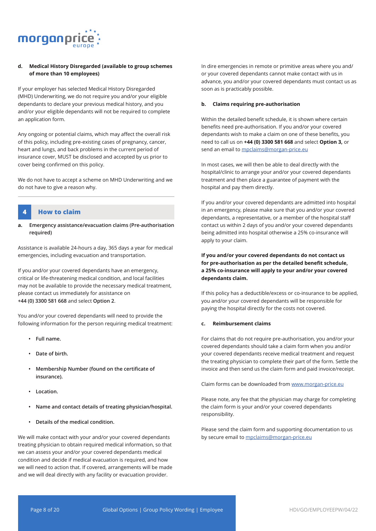

## **d. Medical History Disregarded (available to group schemes of more than 10 employees)**

If your employer has selected Medical History Disregarded (MHD) Underwriting, we do not require you and/or your eligible dependants to declare your previous medical history, and you and/or your eligible dependants will not be required to complete an application form.

Any ongoing or potential claims, which may affect the overall risk of this policy, including pre-existing cases of pregnancy, cancer, heart and lungs, and back problems in the current period of insurance cover, MUST be disclosed and accepted by us prior to cover being confirmed on this policy.

We do not have to accept a scheme on MHD Underwriting and we do not have to give a reason why.

## **4 How to claim**

**a. Emergency assistance/evacuation claims (Pre-authorisation required)** 

Assistance is available 24-hours a day, 365 days a year for medical emergencies, including evacuation and transportation.

If you and/or your covered dependants have an emergency, critical or life-threatening medical condition, and local facilities may not be available to provide the necessary medical treatment, please contact us immediately for assistance on **+44 (0) 3300 581 668** and select **Option 2**.

You and/or your covered dependants will need to provide the following information for the person requiring medical treatment:

- **• Full name.**
- **• Date of birth.**
- **• Membership Number (found on the certificate of insurance).**
- **• Location.**
- **• Name and contact details of treating physician/hospital.**
- **• Details of the medical condition.**

We will make contact with your and/or your covered dependants treating physician to obtain required medical information, so that we can assess your and/or your covered dependants medical condition and decide if medical evacuation is required, and how we will need to action that. If covered, arrangements will be made and we will deal directly with any facility or evacuation provider.

In dire emergencies in remote or primitive areas where you and/ or your covered dependants cannot make contact with us in advance, you and/or your covered dependants must contact us as soon as is practicably possible.

#### **b. Claims requiring pre-authorisation**

Within the detailed benefit schedule, it is shown where certain benefits need pre-authorisation. If you and/or your covered dependants wish to make a claim on one of these benefits, you need to call us on **+44 (0) 3300 581 668** and select **Option 3,** or send an email to mpclaims@morgan-price.eu

In most cases, we will then be able to deal directly with the hospital/clinic to arrange your and/or your covered dependants treatment and then place a guarantee of payment with the hospital and pay them directly.

If you and/or your covered dependants are admitted into hospital in an emergency, please make sure that you and/or your covered dependants, a representative, or a member of the hospital staff contact us within 2 days of you and/or your covered dependants being admitted into hospital otherwise a 25% co-insurance will apply to your claim.

## **If you and/or your covered dependants do not contact us for pre-authorisation as per the detailed benefit schedule, a 25% co-insurance will apply to your and/or your covered dependants claim.**

If this policy has a deductible/excess or co-insurance to be applied, you and/or your covered dependants will be responsible for paying the hospital directly for the costs not covered.

#### **c. Reimbursement claims**

For claims that do not require pre-authorisation, you and/or your covered dependants should take a claim form when you and/or your covered dependants receive medical treatment and request the treating physician to complete their part of the form. Settle the invoice and then send us the claim form and paid invoice/receipt.

Claim forms can be downloaded from www.morgan-price.eu

Please note, any fee that the physician may charge for completing the claim form is your and/or your covered dependants responsibility.

Please send the claim form and supporting documentation to us by secure email to mpclaims@morgan-price.eu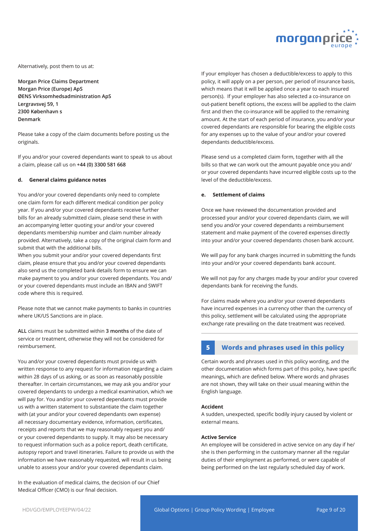

Alternatively, post them to us at:

**Morgan Price Claims Department Morgan Price (Europe) ApS ØENS Virksomhedsadministration ApS Lergravsvej 59, 1 2300 København s Denmark** 

Please take a copy of the claim documents before posting us the originals.

If you and/or your covered dependants want to speak to us about a claim, please call us on **+44 (0) 3300 581 668**

#### **d. General claims guidance notes**

You and/or your covered dependants only need to complete one claim form for each different medical condition per policy year. If you and/or your covered dependants receive further bills for an already submitted claim, please send these in with an accompanying letter quoting your and/or your covered dependants membership number and claim number already provided. Alternatively, take a copy of the original claim form and submit that with the additional bills.

When you submit your and/or your covered dependants first claim, please ensure that you and/or your covered dependants also send us the completed bank details form to ensure we can make payment to you and/or your covered dependants. You and/ or your covered dependants must include an IBAN and SWIFT code where this is required.

Please note that we cannot make payments to banks in countries where UK/US Sanctions are in place.

**ALL** claims must be submitted within **3 months** of the date of service or treatment, otherwise they will not be considered for reimbursement.

You and/or your covered dependants must provide us with written response to any request for information regarding a claim within 28 days of us asking, or as soon as reasonably possible thereafter. In certain circumstances, we may ask you and/or your covered dependants to undergo a medical examination, which we will pay for. You and/or your covered dependants must provide us with a written statement to substantiate the claim together with (at your and/or your covered dependants own expense) all necessary documentary evidence, information, certificates, receipts and reports that we may reasonably request you and/ or your covered dependants to supply. It may also be necessary to request information such as a police report, death certificate, autopsy report and travel itineraries. Failure to provide us with the information we have reasonably requested, will result in us being unable to assess your and/or your covered dependants claim.

In the evaluation of medical claims, the decision of our Chief Medical Officer (CMO) is our final decision.

If your employer has chosen a deductible/excess to apply to this policy, it will apply on a per person, per period of insurance basis, which means that it will be applied once a year to each insured person(s). If your employer has also selected a co-insurance on out-patient benefit options, the excess will be applied to the claim first and then the co-insurance will be applied to the remaining amount. At the start of each period of insurance, you and/or your covered dependants are responsible for bearing the eligible costs for any expenses up to the value of your and/or your covered dependants deductible/excess.

Please send us a completed claim form, together with all the bills so that we can work out the amount payable once you and/ or your covered dependants have incurred eligible costs up to the level of the deductible/excess.

#### **e. Settlement of claims**

Once we have reviewed the documentation provided and processed your and/or your covered dependants claim, we will send you and/or your covered dependants a reimbursement statement and make payment of the covered expenses directly into your and/or your covered dependants chosen bank account.

We will pay for any bank charges incurred in submitting the funds into your and/or your covered dependants bank account.

We will not pay for any charges made by your and/or your covered dependants bank for receiving the funds.

For claims made where you and/or your covered dependants have incurred expenses in a currency other than the currency of this policy, settlement will be calculated using the appropriate exchange rate prevailing on the date treatment was received.

## **5 Words and phrases used in this policy**

Certain words and phrases used in this policy wording, and the other documentation which forms part of this policy, have specific meanings, which are defined below. Where words and phrases are not shown, they will take on their usual meaning within the English language.

#### **Accident**

A sudden, unexpected, specific bodily injury caused by violent or external means.

#### **Active Service**

An employee will be considered in active service on any day if he/ she is then performing in the customary manner all the regular duties of their employment as performed, or were capable of being performed on the last regularly scheduled day of work.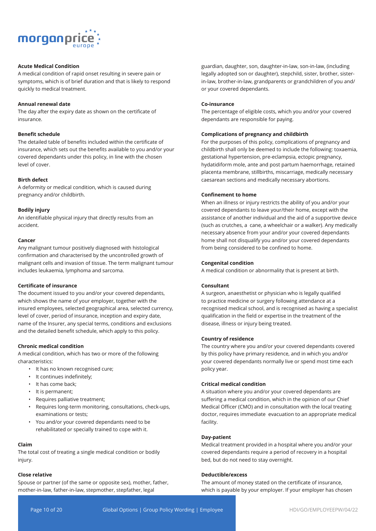

## **Acute Medical Condition**

A medical condition of rapid onset resulting in severe pain or symptoms, which is of brief duration and that is likely to respond quickly to medical treatment.

#### **Annual renewal date**

The day after the expiry date as shown on the certificate of insurance.

#### **Benefit schedule**

The detailed table of benefits included within the certificate of insurance, which sets out the benefits available to you and/or your covered dependants under this policy, in line with the chosen level of cover.

#### **Birth defect**

A deformity or medical condition, which is caused during pregnancy and/or childbirth.

#### **Bodily injury**

An identifiable physical injury that directly results from an accident.

#### **Cancer**

Any malignant tumour positively diagnosed with histological confirmation and characterised by the uncontrolled growth of malignant cells and invasion of tissue. The term malignant tumour includes leukaemia, lymphoma and sarcoma.

#### **Certificate of insurance**

The document issued to you and/or your covered dependants, which shows the name of your employer, together with the insured employees, selected geographical area, selected currency, level of cover, period of insurance, inception and expiry date, name of the Insurer, any special terms, conditions and exclusions and the detailed benefit schedule, which apply to this policy.

#### **Chronic medical condition**

A medical condition, which has two or more of the following characteristics:

- It has no known recognised cure;
- It continues indefinitely;
- It has come back;
- It is permanent;
- Requires palliative treatment;
- Requires long-term monitoring, consultations, check-ups, examinations or tests;
- You and/or your covered dependants need to be rehabilitated or specially trained to cope with it.

## **Claim**

The total cost of treating a single medical condition or bodily injury.

#### **Close relative**

Spouse or partner (of the same or opposite sex), mother, father, mother-in-law, father-in-law, stepmother, stepfather, legal

guardian, daughter, son, daughter-in-law, son-in-law, (including legally adopted son or daughter), stepchild, sister, brother, sisterin-law, brother-in-law, grandparents or grandchildren of you and/ or your covered dependants.

#### **Co-insurance**

The percentage of eligible costs, which you and/or your covered dependants are responsible for paying.

#### **Complications of pregnancy and childbirth**

For the purposes of this policy, complications of pregnancy and childbirth shall only be deemed to include the following: toxaemia, gestational hypertension, pre-eclampsia, ectopic pregnancy, hydatidiform mole, ante and post partum haemorrhage, retained placenta membrane, stillbirths, miscarriage, medically necessary caesarean sections and medically necessary abortions.

#### **Confinement to home**

When an illness or injury restricts the ability of you and/or your covered dependants to leave your/their home, except with the assistance of another individual and the aid of a supportive device (such as crutches, a cane, a wheelchair or a walker). Any medically necessary absence from your and/or your covered dependants home shall not disqualify you and/or your covered dependants from being considered to be confined to home.

#### **Congenital condition**

A medical condition or abnormality that is present at birth.

#### **Consultant**

A surgeon, anaesthetist or physician who is legally qualified to practice medicine or surgery following attendance at a recognised medical school, and is recognised as having a specialist qualification in the field or expertise in the treatment of the disease, illness or injury being treated.

#### **Country of residence**

The country where you and/or your covered dependants covered by this policy have primary residence, and in which you and/or your covered dependants normally live or spend most time each policy year.

#### **Critical medical condition**

A situation where you and/or your covered dependants are suffering a medical condition, which in the opinion of our Chief Medical Officer (CMO) and in consultation with the local treating doctor, requires immediate evacuation to an appropriate medical facility.

#### **Day-patient**

Medical treatment provided in a hospital where you and/or your covered dependants require a period of recovery in a hospital bed, but do not need to stay overnight.

#### **Deductible/excess**

The amount of money stated on the certificate of insurance, which is payable by your employer. If your employer has chosen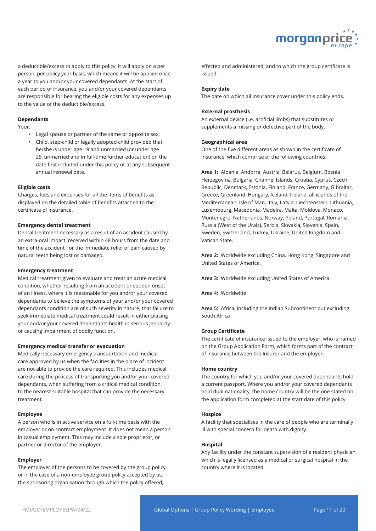

a deductible/excess to apply to this policy, it will apply on a per person, per policy year basis, which means it will be applied once a year to you and/or your covered dependants. At the start of each period of insurance, you and/or your covered dependants are responsible for bearing the eligible costs for any expenses up to the value of the deductible/excess.

#### **Dependants**

Your:

- Legal spouse or partner of the same or opposite sex;
- Child, step-child or legally adopted child provided that he/she is under age 19 and unmarried (or under age 25, unmarried and in full-time further education) on the date first included under this policy or at any subsequent annual renewal date.

#### **Eligible costs**

Charges, fees and expenses for all the items of benefits as displayed on the detailed table of benefits attached to the certificate of insurance.

#### **Emergency dental treatment**

Dental treatment necessary as a result of an accident caused by an extra-oral impact, received within 48 hours from the date and time of the accident, for the immediate relief of pain caused by natural teeth being lost or damaged.

#### **Emergency treatment**

Medical treatment given to evaluate and treat an acute medical condition, whether resulting from an accident or sudden onset of an illness, where it is reasonable for you and/or your covered dependants to believe the symptoms of your and/or your covered dependants condition are of such severity in nature, that failure to seek immediate medical treatment could result in either placing your and/or your covered dependants health in serious jeopardy or causing impairment of bodily function.

#### **Emergency medical transfer or evacuation**

Medically necessary emergency transportation and medical care approved by us when the facilities in the place of incident are not able to provide the care required. This includes medical care during the process of transporting you and/or your covered dependants, when suffering from a critical medical condition, to the nearest suitable hospital that can provide the necessary treatment.

#### **Employee**

A person who is in active service on a full-time basis with the employer or on contract employment. It does not mean a person in casual employment. This may include a sole proprietor, or partner or director of the employer.

#### **Employer**

The employer of the persons to be covered by the group policy, or in the case of a non-employee group policy accepted by us, the sponsoring organisation through which the policy offered,

effected and administered, and to which the group certificate is issued.

#### **Expiry date**

The date on which all insurance cover under this policy ends.

#### **External prosthesis**

An external device (i.e. artificial limbs) that substitutes or supplements a missing or defective part of the body.

#### **Geographical area**

One of the five different areas as shown in the certificate of insurance, which comprise of the following countries:

**Area 1:** Albania, Andorra, Austria, Belarus, Belgium, Bosnia Herzegovina, Bulgaria, Channel Islands, Croatia, Cyprus, Czech Republic, Denmark, Estonia, Finland, France, Germany, Gibraltar, Greece, Greenland, Hungary, Iceland, Ireland, all islands of the Mediterranean, Isle of Man, Italy, Latvia, Liechtenstein, Lithuania, Luxembourg, Macedonia, Madeira, Malta, Moldova, Monaco, Montenegro, Netherlands, Norway, Poland, Portugal, Romania, Russia (West of the Urals), Serbia, Slovakia, Slovenia, Spain, Sweden, Switzerland, Turkey, Ukraine, United Kingdom and Vatican State.

**Area 2:** Worldwide excluding China, Hong Kong, Singapore and United States of America.

**Area 3:** Worldwide excluding United States of America.

**Area 4:** Worldwide.

**Area 5:** Africa, including the Indian Subcontinent but excluding South Africa

#### **Group Certificate**

The certificate of insurance issued to the employer, who is named on the Group Application Form, which forms part of the contract of insurance between the Insurer and the employer.

#### **Home country**

The country for which you and/or your covered dependants hold a current passport. Where you and/or your covered dependants hold dual nationality, the home country will be the one stated on the application form completed at the start date of this policy.

#### **Hospice**

A facility that specialises in the care of people who are terminally ill with special concern for death with dignity.

#### **Hospital**

Any facility under the constant supervision of a resident physician, which is legally licensed as a medical or surgical hospital in the country where it is located.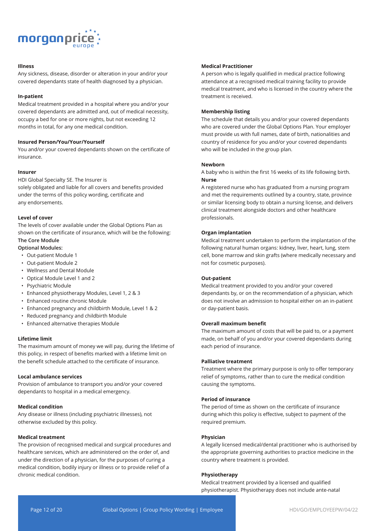

#### **Illness**

Any sickness, disease, disorder or alteration in your and/or your covered dependants state of health diagnosed by a physician.

#### **In-patient**

Medical treatment provided in a hospital where you and/or your covered dependants are admitted and, out of medical necessity, occupy a bed for one or more nights, but not exceeding 12 months in total, for any one medical condition.

## **Insured Person/You/Your/Yourself**

You and/or your covered dependants shown on the certificate of insurance.

#### **Insurer**

HDI Global Specialty SE. The Insurer is solely obligated and liable for all covers and benefits provided under the terms of this policy wording, certificate and any endorsements.

#### **Level of cover**

The levels of cover available under the Global Options Plan as shown on the certificate of insurance, which will be the following: **The Core Module**

#### **Optional Modules:**

- Out-patient Module 1
- Out-patient Module 2
- Wellness and Dental Module
- Optical Module Level 1 and 2
- Psychiatric Module
- Enhanced physiotherapy Modules, Level 1, 2 & 3
- Enhanced routine chronic Module
- Enhanced pregnancy and childbirth Module, Level 1 & 2
- Reduced pregnancy and childbirth Module
- Enhanced alternative therapies Module

#### **Lifetime limit**

The maximum amount of money we will pay, during the lifetime of this policy, in respect of benefits marked with a lifetime limit on the benefit schedule attached to the certificate of insurance.

#### **Local ambulance services**

Provision of ambulance to transport you and/or your covered dependants to hospital in a medical emergency.

#### **Medical condition**

Any disease or illness (including psychiatric illnesses), not otherwise excluded by this policy.

#### **Medical treatment**

The provision of recognised medical and surgical procedures and healthcare services, which are administered on the order of, and under the direction of a physician, for the purposes of curing a medical condition, bodily injury or illness or to provide relief of a chronic medical condition.

## **Medical Practitioner**

A person who is legally qualified in medical practice following attendance at a recognised medical training facility to provide medical treatment, and who is licensed in the country where the treatment is received.

#### **Membership listing**

The schedule that details you and/or your covered dependants who are covered under the Global Options Plan. Your employer must provide us with full names, date of birth, nationalities and country of residence for you and/or your covered dependants who will be included in the group plan.

#### **Newborn**

A baby who is within the first 16 weeks of its life following birth. **Nurse**

A registered nurse who has graduated from a nursing program and met the requirements outlined by a country, state, province or similar licensing body to obtain a nursing license, and delivers clinical treatment alongside doctors and other healthcare professionals.

#### **Organ implantation**

Medical treatment undertaken to perform the implantation of the following natural human organs: kidney, liver, heart, lung, stem cell, bone marrow and skin grafts (where medically necessary and not for cosmetic purposes).

#### **Out-patient**

Medical treatment provided to you and/or your covered dependants by, or on the recommendation of a physician, which does not involve an admission to hospital either on an in-patient or day-patient basis.

#### **Overall maximum benefit**

The maximum amount of costs that will be paid to, or a payment made, on behalf of you and/or your covered dependants during each period of insurance.

#### **Palliative treatment**

Treatment where the primary purpose is only to offer temporary relief of symptoms, rather than to cure the medical condition causing the symptoms.

## **Period of insurance**

The period of time as shown on the certificate of insurance during which this policy is effective, subject to payment of the required premium.

#### **Physician**

A legally licensed medical/dental practitioner who is authorised by the appropriate governing authorities to practice medicine in the country where treatment is provided.

#### **Physiotherapy**

Medical treatment provided by a licensed and qualified physiotherapist. Physiotherapy does not include ante-natal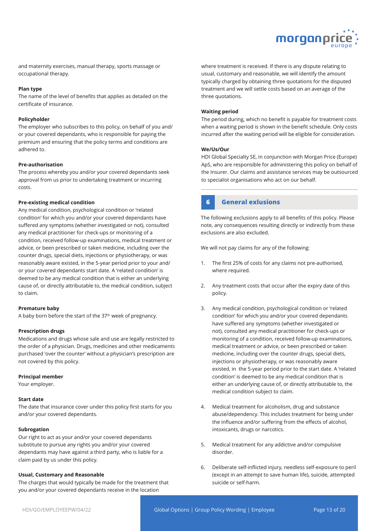

and maternity exercises, manual therapy, sports massage or occupational therapy.

#### **Plan type**

The name of the level of benefits that applies as detailed on the certificate of insurance.

#### **Policyholder**

The employer who subscribes to this policy, on behalf of you and/ or your covered dependants, who is responsible for paying the premium and ensuring that the policy terms and conditions are adhered to.

#### **Pre-authorisation**

The process whereby you and/or your covered dependants seek approval from us prior to undertaking treatment or incurring costs.

#### **Pre-existing medical condition**

Any medical condition, psychological condition or 'related condition' for which you and/or your covered dependants have suffered any symptoms (whether investigated or not), consulted any medical practitioner for check-ups or monitoring of a condition, received follow-up examinations, medical treatment or advice, or been prescribed or taken medicine, including over the counter drugs, special diets, injections or physiotherapy, or was reasonably aware existed, in the 5-year period prior to your and/ or your covered dependants start date. A 'related condition' is deemed to be any medical condition that is either an underlying cause of, or directly attributable to, the medical condition, subject to claim.

#### **Premature baby**

A baby born before the start of the 37<sup>th</sup> week of pregnancy.

#### **Prescription drugs**

Medications and drugs whose sale and use are legally restricted to the order of a physician. Drugs, medicines and other medicaments purchased 'over the counter' without a physician's prescription are not covered by this policy.

#### **Principal member**

Your employer.

#### **Start date**

The date that insurance cover under this policy first starts for you and/or your covered dependants.

#### **Subrogation**

Our right to act as your and/or your covered dependants substitute to pursue any rights you and/or your covered dependants may have against a third party, who is liable for a claim paid by us under this policy.

#### **Usual, Customary and Reasonable**

The charges that would typically be made for the treatment that you and/or your covered dependants receive in the location

where treatment is received. If there is any dispute relating to usual, customary and reasonable, we will identify the amount typically charged by obtaining three quotations for the disputed treatment and we will settle costs based on an average of the three quotations.

#### **Waiting period**

The period during, which no benefit is payable for treatment costs when a waiting period is shown in the benefit schedule. Only costs incurred after the waiting period will be eligible for consideration.

#### **We/Us/Our**

HDI Global Specialty SE, in conjunction with Morgan Price (Europe) ApS, who are responsible for administering this policy on behalf of the Insurer. Our claims and assistance services may be outsourced to specialist organisations who act on our behalf.

## **6 General exlusions**

The following exclusions apply to all benefits of this policy. Please note, any consequences resulting directly or indirectly from these exclusions are also excluded.

We will not pay claims for any of the following:

- 1. The first 25% of costs for any claims not pre-authorised, where required.
- 2. Any treatment costs that occur after the expiry date of this policy.
- 3. Any medical condition, psychological condition or 'related condition' for which you and/or your covered dependants have suffered any symptoms (whether investigated or not), consulted any medical practitioner for check-ups or monitoring of a condition, received follow-up examinations, medical treatment or advice, or been prescribed or taken medicine, including over the counter drugs, special diets, injections or physiotherapy, or was reasonably aware existed, in the 5-year period prior to the start date. A 'related condition' is deemed to be any medical condition that is either an underlying cause of, or directly attributable to, the medical condition subject to claim.
- 4. Medical treatment for alcoholism, drug and substance abuse/dependency. This includes treatment for being under the influence and/or suffering from the effects of alcohol, intoxicants, drugs or narcotics.
- 5. Medical treatment for any addictive and/or compulsive disorder.
- 6. Deliberate self-inflicted injury, needless self-exposure to peril (except in an attempt to save human life), suicide, attempted suicide or self-harm.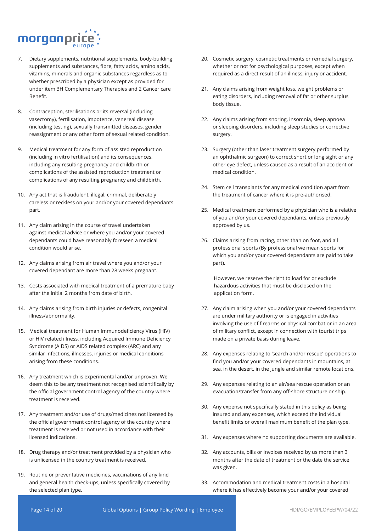

- 7. Dietary supplements, nutritional supplements, body-building supplements and substances, fibre, fatty acids, amino acids, vitamins, minerals and organic substances regardless as to whether prescribed by a physician except as provided for under item 3H Complementary Therapies and 2 Cancer care Benefit.
- 8. Contraception, sterilisations or its reversal (including vasectomy), fertilisation, impotence, venereal disease (including testing), sexually transmitted diseases, gender reassignment or any other form of sexual related condition.
- 9. Medical treatment for any form of assisted reproduction (including in vitro fertilisation) and its consequences, including any resulting pregnancy and childbirth or complications of the assisted reproduction treatment or complications of any resulting pregnancy and childbirth.
- 10. Any act that is fraudulent, illegal, criminal, deliberately careless or reckless on your and/or your covered dependants part.
- 11. Any claim arising in the course of travel undertaken against medical advice or where you and/or your covered dependants could have reasonably foreseen a medical condition would arise.
- 12. Any claims arising from air travel where you and/or your covered dependant are more than 28 weeks pregnant.
- 13. Costs associated with medical treatment of a premature baby after the initial 2 months from date of birth.
- 14. Any claims arising from birth injuries or defects, congenital illness/abnormality.
- 15. Medical treatment for Human Immunodeficiency Virus (HIV) or HIV related illness, including Acquired Immune Deficiency Syndrome (AIDS) or AIDS related complex (ARC) and any similar infections, illnesses, injuries or medical conditions arising from these conditions.
- 16. Any treatment which is experimental and/or unproven. We deem this to be any treatment not recognised scientifically by the official government control agency of the country where treatment is received.
- 17. Any treatment and/or use of drugs/medicines not licensed by the official government control agency of the country where treatment is received or not used in accordance with their licensed indications.
- 18. Drug therapy and/or treatment provided by a physician who is unlicensed in the country treatment is received.
- 19. Routine or preventative medicines, vaccinations of any kind and general health check-ups, unless specifically covered by the selected plan type.
- 20. Cosmetic surgery, cosmetic treatments or remedial surgery, whether or not for psychological purposes, except when required as a direct result of an illness, injury or accident.
- 21. Any claims arising from weight loss, weight problems or eating disorders, including removal of fat or other surplus body tissue.
- 22. Any claims arising from snoring, insomnia, sleep apnoea or sleeping disorders, including sleep studies or corrective surgery.
- 23. Surgery (other than laser treatment surgery performed by an ophthalmic surgeon) to correct short or long sight or any other eye defect, unless caused as a result of an accident or medical condition.
- 24. Stem cell transplants for any medical condition apart from the treatment of cancer where it is pre-authorised.
- 25. Medical treatment performed by a physician who is a relative of you and/or your covered dependants, unless previously approved by us.
- 26. Claims arising from racing, other than on foot, and all professional sports (By professional we mean sports for which you and/or your covered dependants are paid to take part).

However, we reserve the right to load for or exclude hazardous activities that must be disclosed on the application form.

- 27. Any claim arising when you and/or your covered dependants are under military authority or is engaged in activities involving the use of firearms or physical combat or in an area of military conflict, except in connection with tourist trips made on a private basis during leave.
- 28. Any expenses relating to 'search and/or rescue' operations to find you and/or your covered dependants in mountains, at sea, in the desert, in the jungle and similar remote locations.
- 29. Any expenses relating to an air/sea rescue operation or an evacuation/transfer from any off-shore structure or ship.
- 30. Any expense not specifically stated in this policy as being insured and any expenses, which exceed the individual benefit limits or overall maximum benefit of the plan type.
- 31. Any expenses where no supporting documents are available.
- 32. Any accounts, bills or invoices received by us more than 3 months after the date of treatment or the date the service was given.
- 33. Accommodation and medical treatment costs in a hospital where it has effectively become your and/or your covered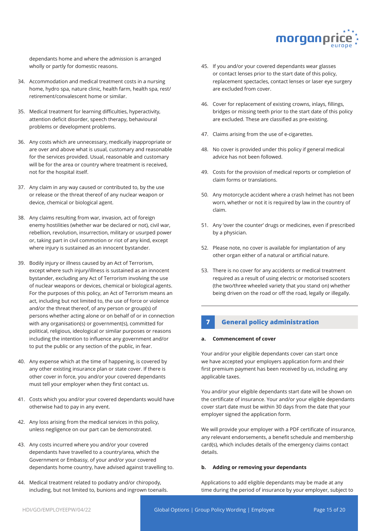

dependants home and where the admission is arranged wholly or partly for domestic reasons.

- 34. Accommodation and medical treatment costs in a nursing home, hydro spa, nature clinic, health farm, health spa, rest/ retirement/convalescent home or similar.
- 35. Medical treatment for learning difficulties, hyperactivity, attention deficit disorder, speech therapy, behavioural problems or development problems.
- 36. Any costs which are unnecessary, medically inappropriate or are over and above what is usual, customary and reasonable for the services provided. Usual, reasonable and customary will be for the area or country where treatment is received, not for the hospital itself.
- 37. Any claim in any way caused or contributed to, by the use or release or the threat thereof of any nuclear weapon or device, chemical or biological agent.
- 38. Any claims resulting from war, invasion, act of foreign enemy hostilities (whether war be declared or not), civil war, rebellion, revolution, insurrection, military or usurped power or, taking part in civil commotion or riot of any kind, except where injury is sustained as an innocent bystander.
- 39. Bodily injury or illness caused by an Act of Terrorism, except where such injury/illness is sustained as an innocent bystander, excluding any Act of Terrorism involving the use of nuclear weapons or devices, chemical or biological agents. For the purposes of this policy, an Act of Terrorism means an act, including but not limited to, the use of force or violence and/or the threat thereof, of any person or group(s) of persons whether acting alone or on behalf of or in connection with any organisation(s) or government(s), committed for political, religious, ideological or similar purposes or reasons including the intention to influence any government and/or to put the public or any section of the public, in fear.
- 40. Any expense which at the time of happening, is covered by any other existing insurance plan or state cover. If there is other cover in force, you and/or your covered dependants must tell your employer when they first contact us.
- 41. Costs which you and/or your covered dependants would have otherwise had to pay in any event.
- 42. Any loss arising from the medical services in this policy, unless negligence on our part can be demonstrated.
- 43. Any costs incurred where you and/or your covered dependants have travelled to a country/area, which the Government or Embassy, of your and/or your covered dependants home country, have advised against travelling to.
- 44. Medical treatment related to podiatry and/or chiropody, including, but not limited to, bunions and ingrown toenails.
- 45. If you and/or your covered dependants wear glasses or contact lenses prior to the start date of this policy, replacement spectacles, contact lenses or laser eye surgery are excluded from cover.
- 46. Cover for replacement of existing crowns, inlays, fillings, bridges or missing teeth prior to the start date of this policy are excluded. These are classified as pre-existing.
- 47. Claims arising from the use of e-cigarettes.
- 48. No cover is provided under this policy if general medical advice has not been followed.
- 49. Costs for the provision of medical reports or completion of claim forms or translations.
- 50. Any motorcycle accident where a crash helmet has not been worn, whether or not it is required by law in the country of claim.
- 51. Any 'over the counter' drugs or medicines, even if prescribed by a physician.
- 52. Please note, no cover is available for implantation of any other organ either of a natural or artificial nature.
- 53. There is no cover for any accidents or medical treatment required as a result of using electric or motorised scooters (the two/three wheeled variety that you stand on) whether being driven on the road or off the road, legally or illegally.

## **7 General policy administration**

#### **a. Commencement of cover**

Your and/or your eligible dependants cover can start once we have accepted your employers application form and their first premium payment has been received by us, including any applicable taxes.

You and/or your eligible dependants start date will be shown on the certificate of insurance. Your and/or your eligible dependants cover start date must be within 30 days from the date that your employer signed the application form.

We will provide your employer with a PDF certificate of insurance, any relevant endorsements, a benefit schedule and membership card(s), which includes details of the emergency claims contact details.

#### **b. Adding or removing your dependants**

Applications to add eligible dependants may be made at any time during the period of insurance by your employer, subject to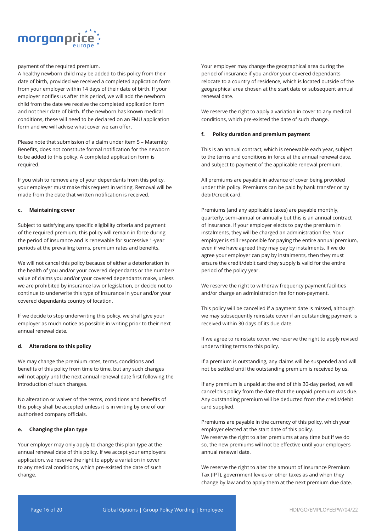

payment of the required premium.

A healthy newborn child may be added to this policy from their date of birth, provided we received a completed application form from your employer within 14 days of their date of birth. If your employer notifies us after this period, we will add the newborn child from the date we receive the completed application form and not their date of birth. If the newborn has known medical conditions, these will need to be declared on an FMU application form and we will advise what cover we can offer.

Please note that submission of a claim under item 5 – Maternity Benefits, does not constitute formal notification for the newborn to be added to this policy. A completed application form is required.

If you wish to remove any of your dependants from this policy, your employer must make this request in writing. Removal will be made from the date that written notification is received.

#### **c. Maintaining cover**

Subject to satisfying any specific eligibility criteria and payment of the required premium, this policy will remain in force during the period of insurance and is renewable for successive 1-year periods at the prevailing terms, premium rates and benefits.

We will not cancel this policy because of either a deterioration in the health of you and/or your covered dependants or the number/ value of claims you and/or your covered dependants make, unless we are prohibited by insurance law or legislation, or decide not to continue to underwrite this type of insurance in your and/or your covered dependants country of location.

If we decide to stop underwriting this policy, we shall give your employer as much notice as possible in writing prior to their next annual renewal date.

#### **d. Alterations to this policy**

We may change the premium rates, terms, conditions and benefits of this policy from time to time, but any such changes will not apply until the next annual renewal date first following the introduction of such changes.

No alteration or waiver of the terms, conditions and benefits of this policy shall be accepted unless it is in writing by one of our authorised company officials.

#### **e. Changing the plan type**

Your employer may only apply to change this plan type at the annual renewal date of this policy. If we accept your employers application, we reserve the right to apply a variation in cover to any medical conditions, which pre-existed the date of such change.

Your employer may change the geographical area during the period of insurance if you and/or your covered dependants relocate to a country of residence, which is located outside of the geographical area chosen at the start date or subsequent annual renewal date.

We reserve the right to apply a variation in cover to any medical conditions, which pre-existed the date of such change.

#### **f. Policy duration and premium payment**

This is an annual contract, which is renewable each year, subject to the terms and conditions in force at the annual renewal date, and subject to payment of the applicable renewal premium.

All premiums are payable in advance of cover being provided under this policy. Premiums can be paid by bank transfer or by debit/credit card.

Premiums (and any applicable taxes) are payable monthly, quarterly, semi-annual or annually but this is an annual contract of insurance. If your employer elects to pay the premium in instalments, they will be charged an administration fee. Your employer is still responsible for paying the entire annual premium, even if we have agreed they may pay by instalments. If we do agree your employer can pay by instalments, then they must ensure the credit/debit card they supply is valid for the entire period of the policy year.

We reserve the right to withdraw frequency payment facilities and/or charge an administration fee for non-payment.

This policy will be cancelled if a payment date is missed, although we may subsequently reinstate cover if an outstanding payment is received within 30 days of its due date.

If we agree to reinstate cover, we reserve the right to apply revised underwriting terms to this policy.

If a premium is outstanding, any claims will be suspended and will not be settled until the outstanding premium is received by us.

If any premium is unpaid at the end of this 30-day period, we will cancel this policy from the date that the unpaid premium was due. Any outstanding premium will be deducted from the credit/debit card supplied.

Premiums are payable in the currency of this policy, which your employer elected at the start date of this policy. We reserve the right to alter premiums at any time but if we do so, the new premiums will not be effective until your employers annual renewal date.

We reserve the right to alter the amount of Insurance Premium Tax (IPT), government levies or other taxes as and when they change by law and to apply them at the next premium due date.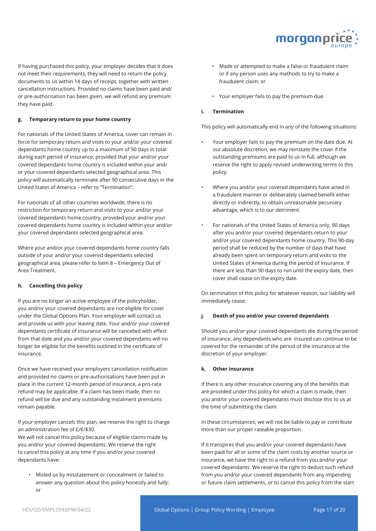

If having purchased this policy, your employer decides that it does not meet their requirements, they will need to return the policy documents to us within 14 days of receipt, together with written cancellation instructions. Provided no claims have been paid and/ or pre-authorisation has been given, we will refund any premium they have paid.

#### **g. Temporary return to your home country**

For nationals of the United States of America, cover can remain in force for temporary return and visits to your and/or your covered dependants home country up to a maximum of 90 days in total during each period of insurance, provided that your and/or your covered dependants home country is included within your and/ or your covered dependants selected geographical area. This policy will automatically terminate after 90 consecutive days in the United States of America – refer to "Termination".

For nationals of all other countries worldwide, there is no restriction for temporary return and visits to your and/or your covered dependants home country, provided your and/or your covered dependants home country is included within your and/or your covered dependants selected geographical area.

Where your and/or your covered dependants home country falls outside of your and/or your covered dependants selected geographical area, please refer to Item 8 – Emergency Out of Area Treatment.

#### **h. Cancelling this policy**

If you are no longer an active employee of the policyholder, you and/or your covered dependants are not eligible for cover under the Global Options Plan. Your employer will contact us and provide us with your leaving date. Your and/or your covered dependants certificate of insurance will be cancelled with effect from that date and you and/or your covered dependants will no longer be eligible for the benefits outlined in the certificate of insurance.

Once we have received your employers cancellation notification and provided no claims or pre-authorisations have been put in place in the current 12-month period of insurance, a pro-rata refund may be applicable. If a claim has been made, then no refund will be due and any outstanding instalment premiums remain payable.

If your employer cancels this plan, we reserve the right to charge an administration fee of £/€/\$30.

We will not cancel this policy because of eligible claims made by you and/or your covered dependants. We reserve the right to cancel this policy at any time if you and/or your covered dependants have:

• Misled us by misstatement or concealment or failed to answer any question about this policy honestly and fully; or

- Made or attempted to make a false or fraudulent claim or if any person uses any methods to try to make a fraudulent claim; or
- Your employer fails to pay the premium due.

## **i. Termination**

This policy will automatically end in any of the following situations:

- Your employer fails to pay the premium on the date due. At our absolute discretion, we may reinstate the cover if the outstanding premiums are paid to us in full, although we reserve the right to apply revised underwriting terms to this policy.
- Where you and/or your covered dependants have acted in a fraudulent manner or deliberately claimed benefit either directly or indirectly, to obtain unreasonable pecuniary advantage, which is to our detriment.
- For nationals of the United States of America only, 90 days after you and/or your covered dependants return to your and/or your covered dependants home country. This 90-day period shall be reduced by the number of days that have already been spent on temporary return and visits to the United States of America during the period of insurance. If there are less than 90 days to run until the expiry date, then cover shall cease on the expiry date.

On termination of this policy for whatever reason, our liability will immediately cease.

#### **j. Death of you and/or your covered dependants**

Should you and/or your covered dependants die during the period of insurance, any dependants who are insured can continue to be covered for the remainder of the period of the insurance at the discretion of your employer.

#### **k. Other insurance**

If there is any other insurance covering any of the benefits that are provided under this policy for which a claim is made, then you and/or your covered dependants must disclose this to us at the time of submitting the claim.

In these circumstances, we will not be liable to pay or contribute more than our proper rateable proportion.

If it transpires that you and/or your covered dependants have been paid for all or some of the claim costs by another source or insurance, we have the right to a refund from you and/or your covered dependants. We reserve the right to deduct such refund from you and/or your covered dependants from any impending or future claim settlements, or to cancel this policy from the start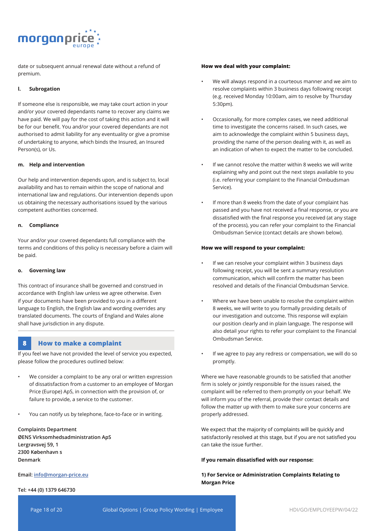

date or subsequent annual renewal date without a refund of premium.

#### **l. Subrogation**

If someone else is responsible, we may take court action in your and/or your covered dependants name to recover any claims we have paid. We will pay for the cost of taking this action and it will be for our benefit. You and/or your covered dependants are not authorised to admit liability for any eventuality or give a promise of undertaking to anyone, which binds the Insured, an Insured Person(s), or Us.

#### **m. Help and intervention**

Our help and intervention depends upon, and is subject to, local availability and has to remain within the scope of national and international law and regulations. Our intervention depends upon us obtaining the necessary authorisations issued by the various competent authorities concerned.

#### **n. Compliance**

Your and/or your covered dependants full compliance with the terms and conditions of this policy is necessary before a claim will be paid.

#### **o. Governing law**

This contract of insurance shall be governed and construed in accordance with English law unless we agree otherwise. Even if your documents have been provided to you in a different language to English, the English law and wording overrides any translated documents. The courts of England and Wales alone shall have jurisdiction in any dispute.

## **8 How to make a complaint**

If you feel we have not provided the level of service you expected, please follow the procedures outlined below:

- We consider a complaint to be any oral or written expression of dissatisfaction from a customer to an employee of Morgan Price (Europe) ApS, in connection with the provision of, or failure to provide, a service to the customer.
- You can notify us by telephone, face-to-face or in writing.

**Complaints Department ØENS Virksomhedsadministration ApS Lergravsvej 59, 1 2300 København s Denmark** 

**Email: info@morgan-price.eu** 

#### **Tel: +44 (0) 1379 646730**

#### **How we deal with your complaint:**

- We will always respond in a courteous manner and we aim to resolve complaints within 3 business days following receipt (e.g. received Monday 10:00am, aim to resolve by Thursday 5:30pm).
- Occasionally, for more complex cases, we need additional time to investigate the concerns raised. In such cases, we aim to acknowledge the complaint within 5 business days, providing the name of the person dealing with it, as well as an indication of when to expect the matter to be concluded.
- If we cannot resolve the matter within 8 weeks we will write explaining why and point out the next steps available to you (i.e. referring your complaint to the Financial Ombudsman Service).
- If more than 8 weeks from the date of your complaint has passed and you have not received a final response, or you are dissatisfied with the final response you received (at any stage of the process), you can refer your complaint to the Financial Ombudsman Service (contact details are shown below).

#### **How we will respond to your complaint:**

- If we can resolve your complaint within 3 business days following receipt, you will be sent a summary resolution communication, which will confirm the matter has been resolved and details of the Financial Ombudsman Service.
- Where we have been unable to resolve the complaint within 8 weeks, we will write to you formally providing details of our investigation and outcome. This response will explain our position clearly and in plain language. The response will also detail your rights to refer your complaint to the Financial Ombudsman Service.
- If we agree to pay any redress or compensation, we will do so promptly.

Where we have reasonable grounds to be satisfied that another firm is solely or jointly responsible for the issues raised, the complaint will be referred to them promptly on your behalf. We will inform you of the referral, provide their contact details and follow the matter up with them to make sure your concerns are properly addressed.

We expect that the majority of complaints will be quickly and satisfactorily resolved at this stage, but if you are not satisfied you can take the issue further.

#### **If you remain dissatisfied with our response:**

**1) For Service or Administration Complaints Relating to Morgan Price**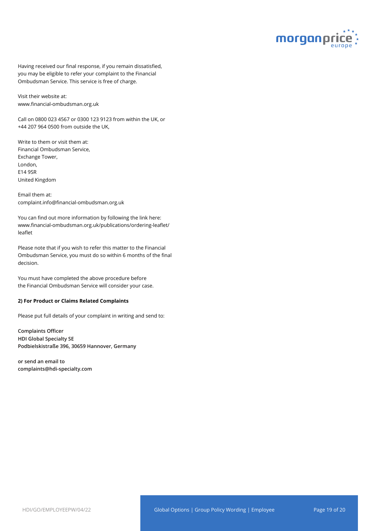

Having received our final response, if you remain dissatisfied, you may be eligible to refer your complaint to the Financial Ombudsman Service. This service is free of charge.

Visit their website at: www.financial-ombudsman.org.uk

Call on 0800 023 4567 or 0300 123 9123 from within the UK, or +44 207 964 0500 from outside the UK,

Write to them or visit them at: Financial Ombudsman Service, Exchange Tower, London, E14 9SR United Kingdom

Email them at: complaint.info@financial-ombudsman.org.uk

You can find out more information by following the link here: www.financial-ombudsman.org.uk/publications/ordering-leaflet/ leaflet

Please note that if you wish to refer this matter to the Financial Ombudsman Service, you must do so within 6 months of the final decision.

You must have completed the above procedure before the Financial Ombudsman Service will consider your case.

#### **2) For Product or Claims Related Complaints**

Please put full details of your complaint in writing and send to:

**Complaints Officer HDI Global Specialty SE Podbielskistraße 396, 30659 Hannover, Germany**

**or send an email to complaints@hdi-specialty.com**